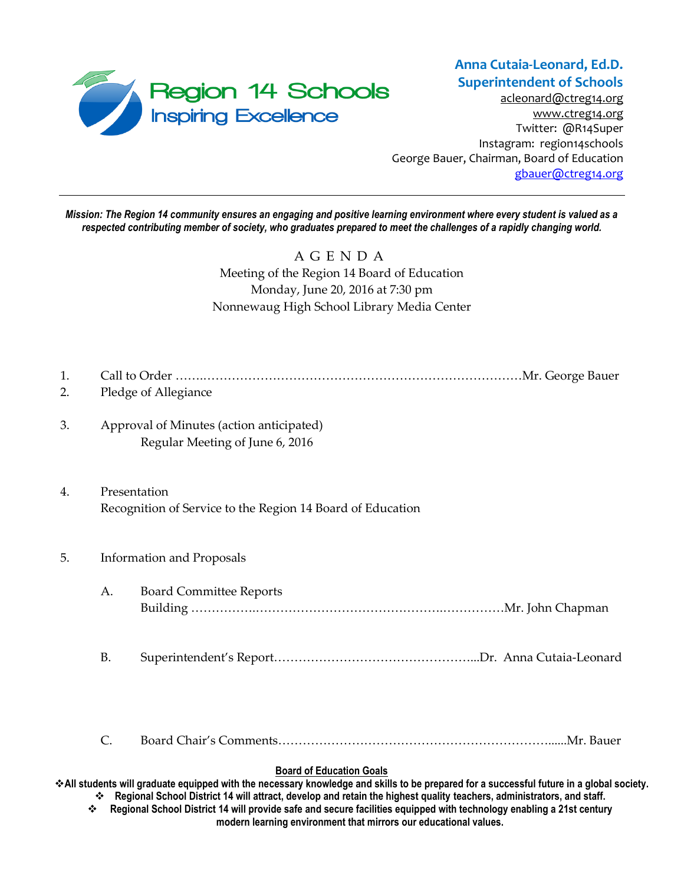

**Anna Cutaia-Leonard, Ed.D. Superintendent of Schools**

[acleonard@ctreg14.org](mailto:acleonard@ctreg14.org) [www.ctreg14.org](http://www.ctreg14.org/) Twitter: @R14Super Instagram: region14schools George Bauer, Chairman, Board of Education [gbauer@ctreg14.org](mailto:gbauer@ctreg14.org)

*Mission: The Region 14 community ensures an engaging and positive learning environment where every student is valued as a respected contributing member of society, who graduates prepared to meet the challenges of a rapidly changing world.*

## A G E N D A Meeting of the Region 14 Board of Education Monday, June 20, 2016 at 7:30 pm Nonnewaug High School Library Media Center

- 1. Call to Order …….……………………………………………………………………Mr. George Bauer
- 2. Pledge of Allegiance
- 3. Approval of Minutes (action anticipated) Regular Meeting of June 6, 2016
- 4. Presentation Recognition of Service to the Region 14 Board of Education

#### 5. Information and Proposals

- A. Board Committee Reports Building …………….……………………………………….……………Mr. John Chapman
- B. Superintendent's Report…………………………………………...Dr. Anna Cutaia-Leonard

C. Board Chair's Comments…………………………………………………………......Mr. Bauer

#### **Board of Education Goals**

**All students will graduate equipped with the necessary knowledge and skills to be prepared for a successful future in a global society. Regional School District 14 will attract, develop and retain the highest quality teachers, administrators, and staff.**

 **Regional School District 14 will provide safe and secure facilities equipped with technology enabling a 21st century modern learning environment that mirrors our educational values.**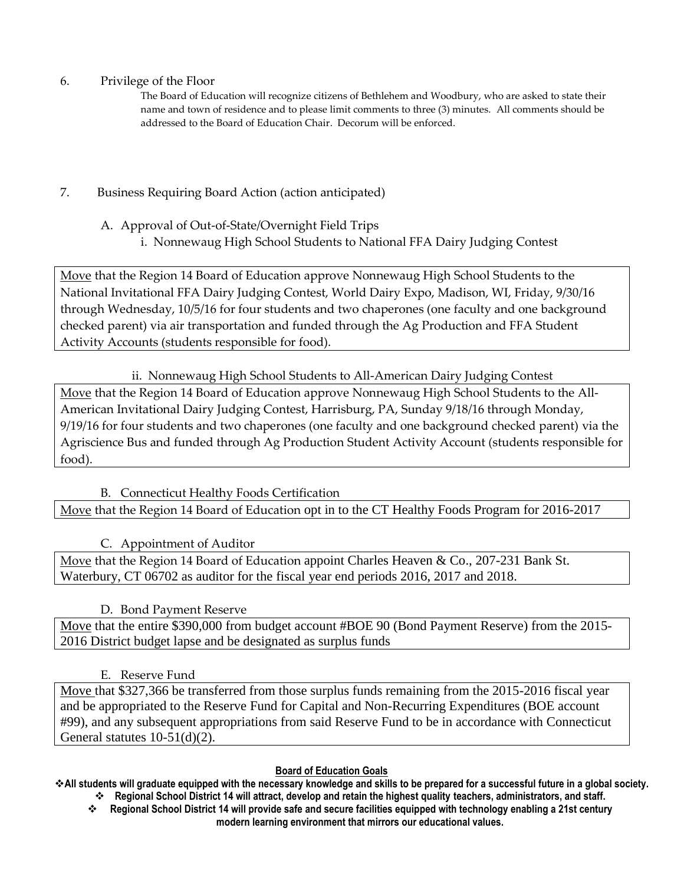6. Privilege of the Floor

The Board of Education will recognize citizens of Bethlehem and Woodbury, who are asked to state their name and town of residence and to please limit comments to three (3) minutes. All comments should be addressed to the Board of Education Chair. Decorum will be enforced.

- 7. Business Requiring Board Action (action anticipated)
	- A. Approval of Out-of-State/Overnight Field Trips
		- i. Nonnewaug High School Students to National FFA Dairy Judging Contest

Move that the Region 14 Board of Education approve Nonnewaug High School Students to the National Invitational FFA Dairy Judging Contest, World Dairy Expo, Madison, WI, Friday, 9/30/16 through Wednesday, 10/5/16 for four students and two chaperones (one faculty and one background checked parent) via air transportation and funded through the Ag Production and FFA Student Activity Accounts (students responsible for food).

ii. Nonnewaug High School Students to All-American Dairy Judging Contest

Move that the Region 14 Board of Education approve Nonnewaug High School Students to the All-American Invitational Dairy Judging Contest, Harrisburg, PA, Sunday 9/18/16 through Monday, 9/19/16 for four students and two chaperones (one faculty and one background checked parent) via the Agriscience Bus and funded through Ag Production Student Activity Account (students responsible for food).

## B. Connecticut Healthy Foods Certification

Move that the Region 14 Board of Education opt in to the CT Healthy Foods Program for 2016-2017

C. Appointment of Auditor

Move that the Region 14 Board of Education appoint Charles Heaven & Co., 207-231 Bank St. Waterbury, CT 06702 as auditor for the fiscal year end periods 2016, 2017 and 2018.

D. Bond Payment Reserve

Move that the entire \$390,000 from budget account #BOE 90 (Bond Payment Reserve) from the 2015-2016 District budget lapse and be designated as surplus funds

E. Reserve Fund

Move that \$327,366 be transferred from those surplus funds remaining from the 2015-2016 fiscal year and be appropriated to the Reserve Fund for Capital and Non-Recurring Expenditures (BOE account #99), and any subsequent appropriations from said Reserve Fund to be in accordance with Connecticut General statutes 10-51(d)(2).

## **Board of Education Goals**

**All students will graduate equipped with the necessary knowledge and skills to be prepared for a successful future in a global society. Regional School District 14 will attract, develop and retain the highest quality teachers, administrators, and staff.**

 **Regional School District 14 will provide safe and secure facilities equipped with technology enabling a 21st century modern learning environment that mirrors our educational values.**